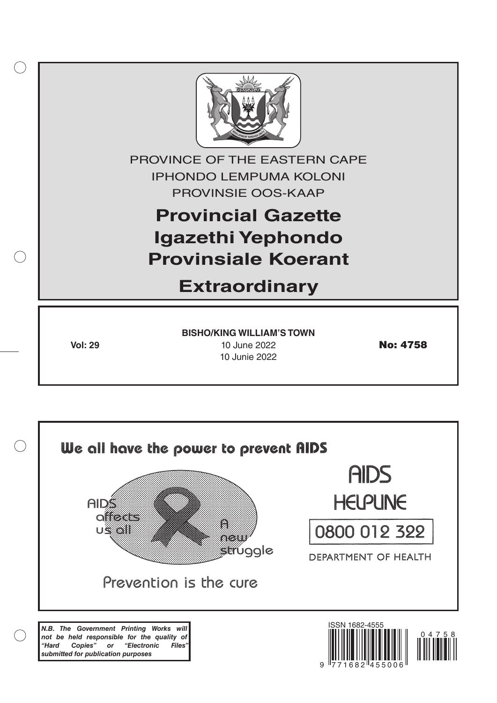

We all have the power to prevent AIDS ADS **HELPLINE AIDS officers** A 0800 012 322 **US 81** neu strüggle DEPARTMENT OF HEALTH Prevention is the cure SN 1682-4555 *N.B. The Government Printing Works will*  04758 *not be held responsible for the quality of "Hard Copies" or "Electronic Files" submitted for publication purposes* 9 <sup>11</sup>771682 <sup>11</sup>455006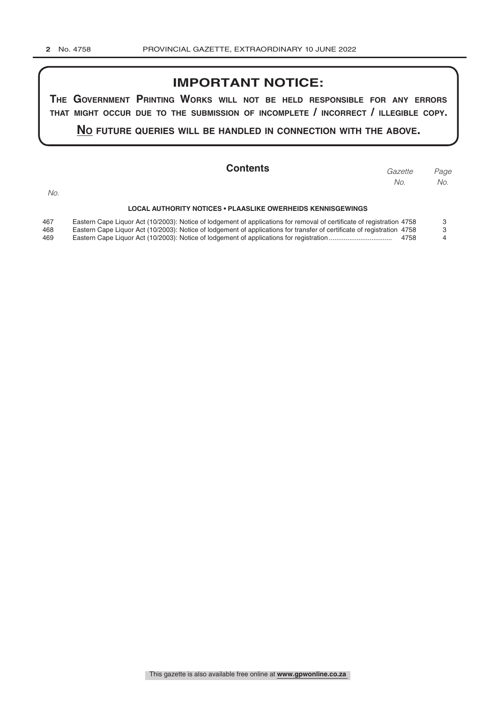# **IMPORTANT NOTICE:**

**The GovernmenT PrinTinG Works Will noT be held resPonsible for any errors ThaT miGhT occur due To The submission of incomPleTe / incorrecT / illeGible coPy.**

**no fuTure queries Will be handled in connecTion WiTh The above.**

| No.               | <b>Contents</b><br>Gazette<br>No.                                                                                                                                                                                                                         | Page<br>No. |
|-------------------|-----------------------------------------------------------------------------------------------------------------------------------------------------------------------------------------------------------------------------------------------------------|-------------|
|                   | LOCAL AUTHORITY NOTICES • PLAASLIKE OWERHEIDS KENNISGEWINGS                                                                                                                                                                                               |             |
| 467<br>468<br>469 | Eastern Cape Liquor Act (10/2003): Notice of lodgement of applications for removal of certificate of registration 4758<br>Eastern Cape Liquor Act (10/2003): Notice of lodgement of applications for transfer of certificate of registration 4758<br>4758 | 3<br>3      |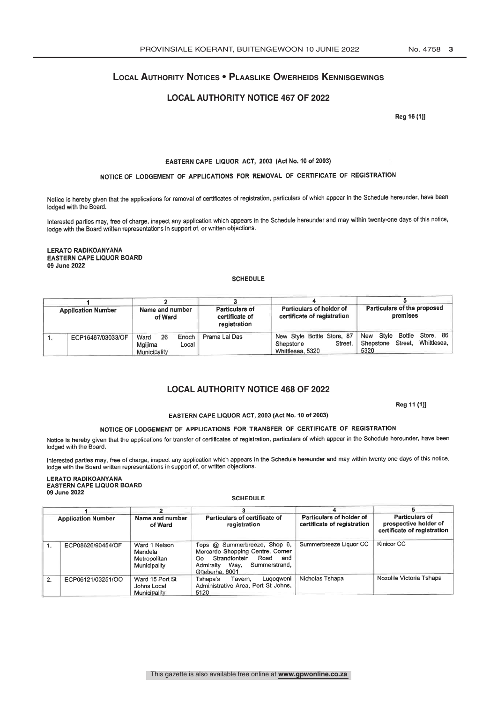# **Local Authority Notices • Plaaslike Owerheids Kennisgewings**

# **LOCAL AUTHORITY NOTICE 467 OF 2022**

Reg 16 (1)]

#### EASTERN CAPE LIQUOR ACT, 2003 (Act No. 10 of 2003)

#### NOTICE OF LODGEMENT OF APPLICATIONS FOR REMOVAL OF CERTIFICATE OF REGISTRATION

Notice is hereby given that the applications for removal of certificates of registration, particulars of which appear in the Schedule hereunder, have been lodged with the Board.

Interested parties may, free of charge, inspect any application which appears in the Schedule hereunder and may within twenty-one days of this notice, lodge with the Board written representations in support of, or written objections.

#### **LERATO RADIKOANYANA EASTERN CAPE LIQUOR BOARD** 09 June 2022

#### **SCHEDULE**

| <b>Application Number</b> |                   | Name and number                       | <b>Particulars of</b>           | Particulars of holder of                                               | Particulars of the proposed                                                        |  |
|---------------------------|-------------------|---------------------------------------|---------------------------------|------------------------------------------------------------------------|------------------------------------------------------------------------------------|--|
|                           |                   | of Ward                               | certificate of<br>registration  | certificate of registration                                            | premises                                                                           |  |
|                           | ECP16467/03033/OF | 26<br>Ward<br>Maiiima<br>Municipality | Prama Lal Das<br>Enoch<br>Local | New Style Bottle Store, 87<br>Street.<br>Shepstone<br>Whittlesea, 5320 | 86<br>Store.<br>Bottle<br>New Style<br>Whittlesea.<br>Street.<br>Shepstone<br>5320 |  |

## **LOCAL AUTHORITY NOTICE 468 OF 2022**

Reg 11 (1)]

#### EASTERN CAPE LIQUOR ACT, 2003 (Act No. 10 of 2003)

#### NOTICE OF LODGEMENT OF APPLICATIONS FOR TRANSFER OF CERTIFICATE OF REGISTRATION

Notice is hereby given that the applications for transfer of certificates of registration, particulars of which appear in the Schedule hereunder, have been lodged with the Board.

Interested parties may, free of charge, inspect any application which appears in the Schedule hereunder and may within twenty one days of this notice, lodge with the Board written representations in support of, or written objections.

#### **LERATO RADIKOANYANA**

EASTERN CAPE LIQUOR BOARD 09 June 2022

#### **SCHEDULE**

| <b>Application Number</b> |                   |                                                          |                                                                                                                                                              |                                                         | <b>Particulars of</b><br>prospective holder of<br>certificate of registration |  |
|---------------------------|-------------------|----------------------------------------------------------|--------------------------------------------------------------------------------------------------------------------------------------------------------------|---------------------------------------------------------|-------------------------------------------------------------------------------|--|
|                           |                   | Name and number<br>of Ward                               | Particulars of certificate of<br>registration                                                                                                                | Particulars of holder of<br>certificate of registration |                                                                               |  |
|                           | ECP08626/90454/OF | Ward 1 Nelson<br>Mandela<br>Metropolitan<br>Municipality | Tops @ Summerbreeze, Shop 6,<br>Mercardo Shopping Centre, Corner<br>Strandfontein<br>Road<br>and<br>Oo.<br>Admiralty Way,<br>Summerstrand,<br>Gueberha, 6001 | Summerbreeze Liquor CC                                  | Kinicor CC                                                                    |  |
| 2.                        | ECP06121/03251/OO | Ward 15 Port St<br>Johns Local<br>Municipality           | Luaoaweni<br>Tshapa's<br>Tavem.<br>Administrative Area, Port St Johns,<br>5120                                                                               | Nicholas Tshapa                                         | Nozolile Victoria Tshapa                                                      |  |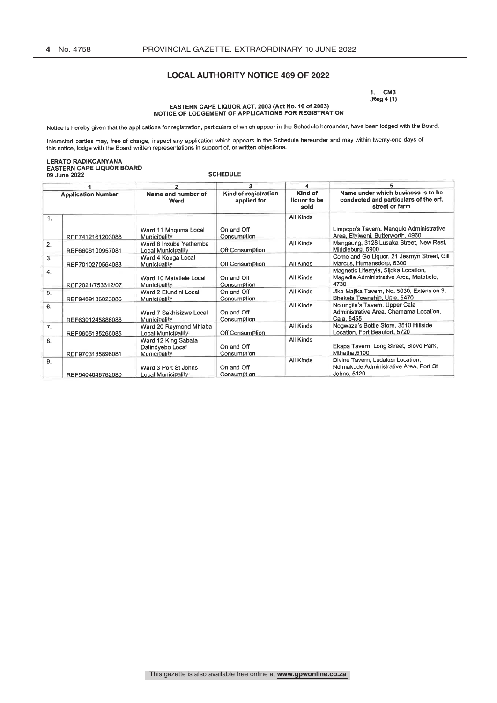### **LOCAL AUTHORITY NOTICE 469 OF 2022**

1. CM3  $Recall (1)$ 

# EASTERN CAPE LIQUOR ACT, 2003 (Act No. 10 of 2003)<br>NOTICE OF LODGEMENT OF APPLICATIONS FOR REGISTRATION

Notice is hereby given that the applications for registration, particulars of which appear in the Schedule hereunder, have been lodged with the Board.

Interested parties may, free of charge, inspect any application which appears in the Schedule hereunder and may within twenty-one days of this notice, lodge with the Board written representations in support of, or written objections.

# LERATO RADIKOANYANA<br>EASTERN CAPE LIQUOR BOARD<br>09 June 2022

**SCHEDULE** 

|                           |                   | 2                                                       |                                     | 4                               | 5                                                                                             |
|---------------------------|-------------------|---------------------------------------------------------|-------------------------------------|---------------------------------|-----------------------------------------------------------------------------------------------|
| <b>Application Number</b> |                   | Name and number of<br>Ward                              | Kind of registration<br>applied for | Kind of<br>liquor to be<br>sold | Name under which business is to be<br>conducted and particulars of the erf,<br>street or farm |
| $\mathbf{1}$ .            |                   |                                                         |                                     | All Kinds                       |                                                                                               |
|                           | REF7412161203088  | Ward 11 Mnguma Local<br>Municipality                    | On and Off<br>Consumption           |                                 | Limpopo's Tavern, Manqulo Administrative<br>Area, Etyiweni, Butterworth, 4960                 |
| 2.                        | REF6606100957081  | Ward 8 Inxuba Yethemba<br>Local Municipality            | Off Consumption                     | All Kinds                       | Mangaung, 3128 Lusaka Street, New Rest,<br>Middleburg, 5900                                   |
| 3.                        | REF7010270564083  | Ward 4 Kouga Local<br>Municipality                      | Off Consumption                     | All Kinds                       | Come and Go Liquor, 21 Jesmyn Street, Gill<br>Marcus, Humansdorp, 6300                        |
| $\boldsymbol{4}$ .        | REF2021/753612/07 | Ward 10 Matatiele Local<br>Municipality                 | On and Off<br>Consumption           | All Kinds                       | Magnetic Lifestyle, Sijoka Location,<br>Magadla Administrative Area, Matatiele,<br>4730       |
| 5.                        | REF9409136023086  | Ward 2 Elundini Local<br>Municipality                   | On and Off<br>Consumption           | All Kinds                       | Jika Majika Tavern, No. 5030, Extension 3,<br>Bhekela Township, Ugie, 5470                    |
| 6.                        | REF6301245886086  | Ward 7 Sakhisizwe Local<br>Municipality                 | On and Off<br>Consumption           | <b>All Kinds</b>                | Nolungile's Tavern, Upper Cala<br>Administrative Area, Chamama Location,<br>Cala, 5455        |
| 7.                        | REF9605135266085  | Ward 20 Raymond Mhlaba<br>Local Municipality            | Off Consumption                     | All Kinds                       | Nogwaza's Bottle Store, 3510 Hillside<br>Location, Fort Beaufort, 5720                        |
| 8.                        | REF9703185896081  | Ward 12 King Sabata<br>Dalindyebo Local<br>Municipality | On and Off<br>Consumption           | All Kinds                       | Ekapa Tavern, Long Street, Slovo Park,<br>Mthatha,5100                                        |
| 9.                        | REF9404045762080  | Ward 3 Port St Johns<br>Local Municipality              | On and Off<br>Consumption           | <b>All Kinds</b>                | Divine Tavern, Ludalasi Location,<br>Ndimakude Administrative Area, Port St<br>Johns, 5120    |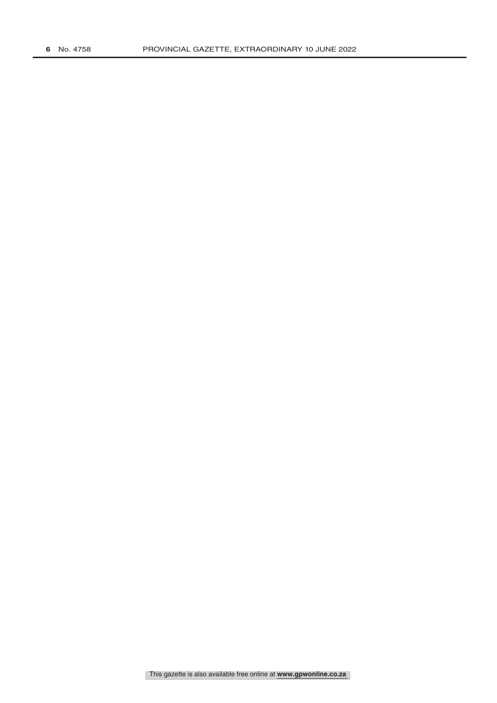This gazette is also available free online at **www.gpwonline.co.za**